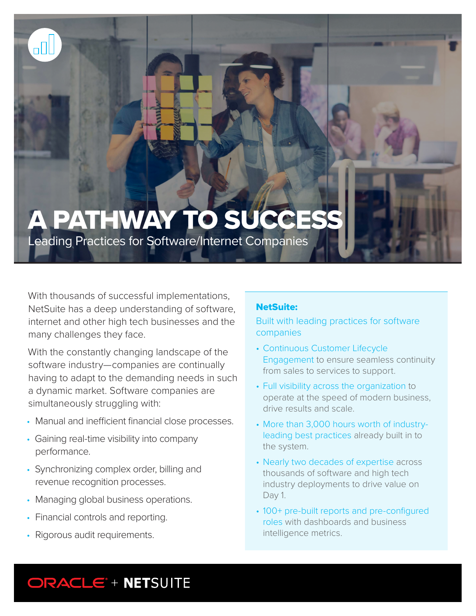# A PATHWAY TO SUCCESS

Leading Practices for Software/Internet Companies

With thousands of successful implementations, NetSuite has a deep understanding of software, internet and other high tech businesses and the many challenges they face.

With the constantly changing landscape of the software industry—companies are continually having to adapt to the demanding needs in such a dynamic market. Software companies are simultaneously struggling with:

- Manual and inefficient financial close processes.
- Gaining real-time visibility into company performance.
- Synchronizing complex order, billing and revenue recognition processes.
- Managing global business operations.
- Financial controls and reporting.
- Rigorous audit requirements.

#### NetSuite:

Built with leading practices for software companies

- Continuous Customer Lifecycle Engagement to ensure seamless continuity from sales to services to support.
- Full visibility across the organization to operate at the speed of modern business, drive results and scale.
- More than 3,000 hours worth of industryleading best practices already built in to the system.
- Nearly two decades of expertise across thousands of software and high tech industry deployments to drive value on Day 1.
- 100+ pre-built reports and pre-configured roles with dashboards and business intelligence metrics.

# ORACLE<sup>\*</sup> + NETSUITE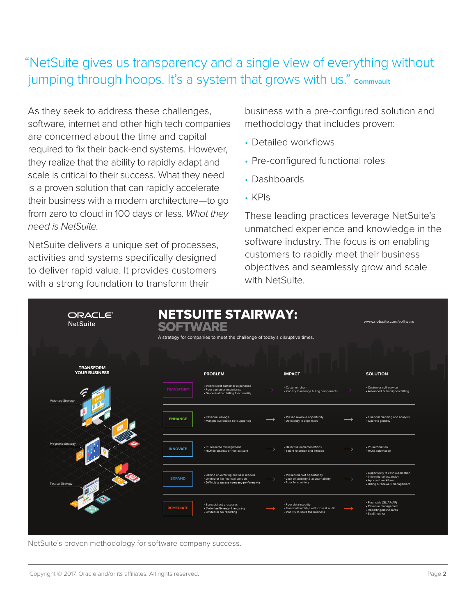## "NetSuite gives us transparency and a single view of everything without jumping through hoops. It's a system that grows with us." **Commvault**

As they seek to address these challenges, software, internet and other high tech companies are concerned about the time and capital required to fix their back-end systems. However, they realize that the ability to rapidly adapt and scale is critical to their success. What they need is a proven solution that can rapidly accelerate their business with a modern architecture—to go from zero to cloud in 100 days or less. *What they need is NetSuite.* 

NetSuite delivers a unique set of processes, activities and systems specifically designed to deliver rapid value. It provides customers with a strong foundation to transform their

business with a pre-configured solution and methodology that includes proven:

- Detailed workflows
- Pre-configured functional roles
- Dashboards
- KPIs

These leading practices leverage NetSuite's unmatched experience and knowledge in the software industry. The focus is on enabling customers to rapidly meet their business objectives and seamlessly grow and scale with NetSuite.

| ORACLE <sup>®</sup><br><b>NetSuite</b>   | <b>NETSUITE STAIRWAY:</b><br><b>SOFTWARE</b><br>A strategy for companies to meet the challenge of today's disruptive times. |                                                                                                                         |  |                                                                                                       |  | www.netsuite.com/software                                                                                                |  |
|------------------------------------------|-----------------------------------------------------------------------------------------------------------------------------|-------------------------------------------------------------------------------------------------------------------------|--|-------------------------------------------------------------------------------------------------------|--|--------------------------------------------------------------------------------------------------------------------------|--|
| <b>TRANSFORM</b><br><b>YOUR BUSINESS</b> |                                                                                                                             | <b>PROBLEM</b>                                                                                                          |  | <b>IMPACT</b>                                                                                         |  | <b>SOLUTION</b>                                                                                                          |  |
| <b>Visionary Strategy</b>                | <b>TRANSFORM</b>                                                                                                            | · Inconsistent customer experience<br>· Poor customer experience<br>• De-centralized billing functionality              |  | • Customer churn<br>· Inability to manage billing components                                          |  | · Customer self-service<br>• Advanced Subscription Billing                                                               |  |
|                                          | <b>ENHANCE</b>                                                                                                              | · Revenue leakage<br>· Multiple currencies not supported                                                                |  | • Missed revenue opportunity<br>· Deficiency in expansion                                             |  | • Financial planning and analysis<br>• Operate globally                                                                  |  |
| <b>Pragmatic Strategy</b>                | <b>INNOVATE</b>                                                                                                             | · PS resource misalignment<br>· HCM in disarray or non existent                                                         |  | · Defective implementations<br>· Talent retention and attrition                                       |  | · PS automation<br>• HCM automation                                                                                      |  |
| <b>Tactical Strategy</b>                 | <b>EXPAND</b>                                                                                                               | · Behind on evolving business models<br>• Limited or No financial controls<br>· Difficult to assess company performance |  | • Missed market opportunity<br>• Lack of visibility & accountability<br>• Poor forecasting            |  | • Opportunity to cash automation<br>· International expansion<br>• Approval workflows<br>· Billing & renewals management |  |
|                                          | <b>REMEDIATE</b>                                                                                                            | · Spreadsheet processes<br>· Order inefficiency & accuracy<br>• Limited or No reporting                                 |  | · Poor data integrity<br>· Financial hardship with close & audit<br>· Inability to scale the business |  | · Financials (GL/AR/AP)<br>· Revenue management<br>· Reporting/dashboards<br>· SaaS metrics                              |  |

NetSuite's proven methodology for software company success.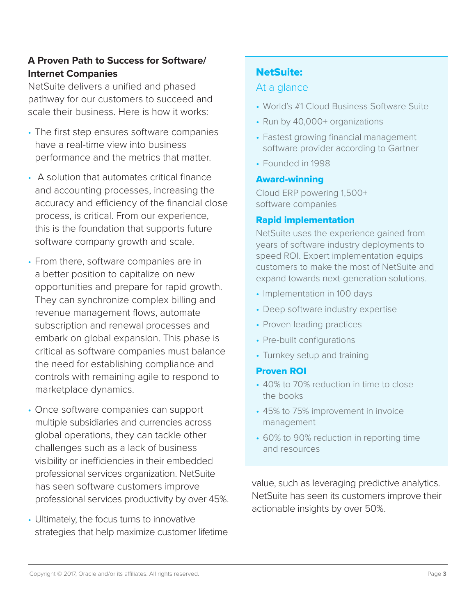#### **A Proven Path to Success for Software/ Internet Companies**

NetSuite delivers a unified and phased pathway for our customers to succeed and scale their business. Here is how it works:

- The first step ensures software companies have a real-time view into business performance and the metrics that matter.
- A solution that automates critical finance and accounting processes, increasing the accuracy and efficiency of the financial close process, is critical. From our experience, this is the foundation that supports future software company growth and scale.
- From there, software companies are in a better position to capitalize on new opportunities and prepare for rapid growth. They can synchronize complex billing and revenue management flows, automate subscription and renewal processes and embark on global expansion. This phase is critical as software companies must balance the need for establishing compliance and controls with remaining agile to respond to marketplace dynamics.
- Once software companies can support multiple subsidiaries and currencies across global operations, they can tackle other challenges such as a lack of business visibility or inefficiencies in their embedded professional services organization. NetSuite has seen software customers improve professional services productivity by over 45%.
- Ultimately, the focus turns to innovative strategies that help maximize customer lifetime

## NetSuite:

#### At a glance

- World's #1 Cloud Business Software Suite
- Run by 40,000+ organizations
- Fastest growing financial management software provider according to Gartner
- Founded in 1998

#### Award-winning

Cloud ERP powering 1,500+ software companies

#### Rapid implementation

NetSuite uses the experience gained from years of software industry deployments to speed ROI. Expert implementation equips customers to make the most of NetSuite and expand towards next-generation solutions.

- Implementation in 100 days
- Deep software industry expertise
- Proven leading practices
- Pre-built configurations
- Turnkey setup and training

#### Proven ROI

- 40% to 70% reduction in time to close the books
- 45% to 75% improvement in invoice management
- 60% to 90% reduction in reporting time and resources

value, such as leveraging predictive analytics. NetSuite has seen its customers improve their actionable insights by over 50%.